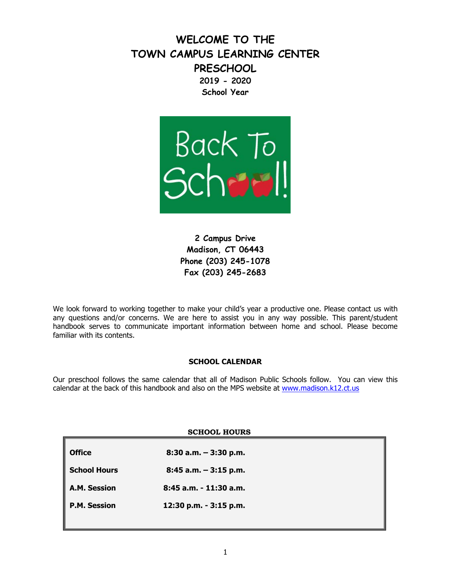**WELCOME TO THE TOWN CAMPUS LEARNING CENTER PRESCHOOL 2019 - 2020 School Year**



**2 Campus Drive Madison, CT 06443 Phone (203) 245-1078 Fax (203) 245-2683**

We look forward to working together to make your child's year a productive one. Please contact us with any questions and/or concerns. We are here to assist you in any way possible. This parent/student handbook serves to communicate important information between home and school. Please become familiar with its contents.

# **SCHOOL CALENDAR**

Our preschool follows the same calendar that all of Madison Public Schools follow. You can view this calendar at the back of this handbook and also on the MPS website at [www.madison.k12.ct.us](http://www.madison.k12.ct.us/)

| <b>SCHOOL HOURS</b> |                          |  |
|---------------------|--------------------------|--|
| <b>Office</b>       | $8:30$ a.m. $-3:30$ p.m. |  |
| <b>School Hours</b> | $8:45$ a.m. $-3:15$ p.m. |  |
| A.M. Session        | 8:45 a.m. - 11:30 a.m.   |  |
| <b>P.M. Session</b> | 12:30 p.m. - 3:15 p.m.   |  |
|                     |                          |  |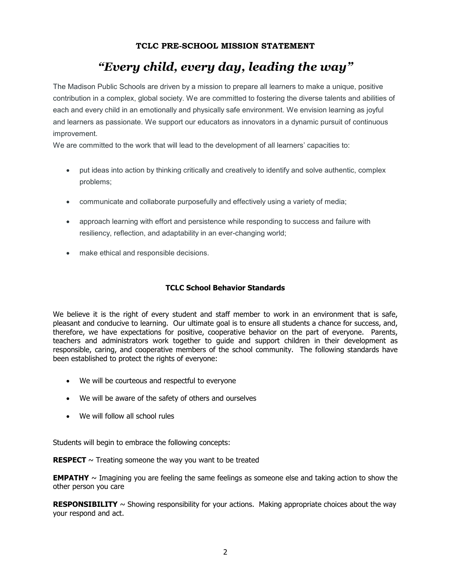# **TCLC PRE-SCHOOL MISSION STATEMENT**

# *"Every child, every day, leading the way"*

The Madison Public Schools are driven by a mission to prepare all learners to make a unique, positive contribution in a complex, global society. We are committed to fostering the diverse talents and abilities of each and every child in an emotionally and physically safe environment. We envision learning as joyful and learners as passionate. We support our educators as innovators in a dynamic pursuit of continuous improvement.

We are committed to the work that will lead to the development of all learners' capacities to:

- put ideas into action by thinking critically and creatively to identify and solve authentic, complex problems;
- communicate and collaborate purposefully and effectively using a variety of media;
- approach learning with effort and persistence while responding to success and failure with resiliency, reflection, and adaptability in an ever-changing world;
- make ethical and responsible decisions.

# **TCLC School Behavior Standards**

We believe it is the right of every student and staff member to work in an environment that is safe, pleasant and conducive to learning. Our ultimate goal is to ensure all students a chance for success, and, therefore, we have expectations for positive, cooperative behavior on the part of everyone. Parents, teachers and administrators work together to guide and support children in their development as responsible, caring, and cooperative members of the school community. The following standards have been established to protect the rights of everyone:

- We will be courteous and respectful to everyone
- We will be aware of the safety of others and ourselves
- We will follow all school rules

Students will begin to embrace the following concepts:

**RESPECT**  $\sim$  Treating someone the way you want to be treated

**EMPATHY**  $\sim$  Imagining you are feeling the same feelings as someone else and taking action to show the other person you care

**RESPONSIBILITY**  $\sim$  Showing responsibility for your actions. Making appropriate choices about the way your respond and act.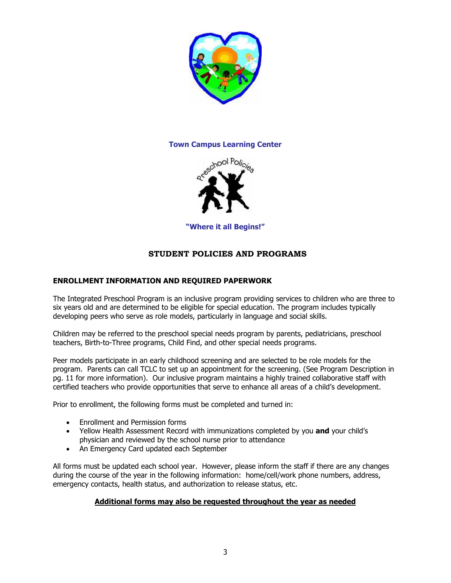

# **Town Campus Learning Center**



**"Where it all Begins!"**

# **STUDENT POLICIES AND PROGRAMS**

# **ENROLLMENT INFORMATION AND REQUIRED PAPERWORK**

The Integrated Preschool Program is an inclusive program providing services to children who are three to six years old and are determined to be eligible for special education. The program includes typically developing peers who serve as role models, particularly in language and social skills.

Children may be referred to the preschool special needs program by parents, pediatricians, preschool teachers, Birth-to-Three programs, Child Find, and other special needs programs.

Peer models participate in an early childhood screening and are selected to be role models for the program. Parents can call TCLC to set up an appointment for the screening. (See Program Description in pg. 11 for more information). Our inclusive program maintains a highly trained collaborative staff with certified teachers who provide opportunities that serve to enhance all areas of a child's development.

Prior to enrollment, the following forms must be completed and turned in:

- Enrollment and Permission forms
- Yellow Health Assessment Record with immunizations completed by you **and** your child's physician and reviewed by the school nurse prior to attendance
- An Emergency Card updated each September

All forms must be updated each school year. However, please inform the staff if there are any changes during the course of the year in the following information: home/cell/work phone numbers, address, emergency contacts, health status, and authorization to release status, etc.

# **Additional forms may also be requested throughout the year as needed**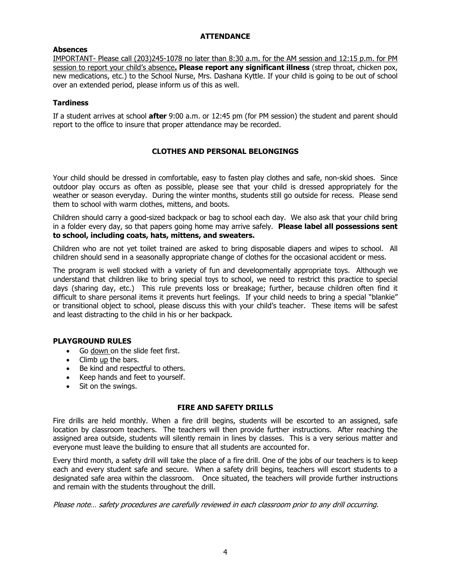# **ATTENDANCE**

### **Absences**

IMPORTANT- Please call (203)245-1078 no later than 8:30 a.m. for the AM session and 12:15 p.m. for PM session to report your child's absence**. Please report any significant illness** (strep throat, chicken pox, new medications, etc.) to the School Nurse, Mrs. Dashana Kyttle. If your child is going to be out of school over an extended period, please inform us of this as well.

### **Tardiness**

If a student arrives at school **after** 9:00 a.m. or 12:45 pm (for PM session) the student and parent should report to the office to insure that proper attendance may be recorded.

# **CLOTHES AND PERSONAL BELONGINGS**

Your child should be dressed in comfortable, easy to fasten play clothes and safe, non-skid shoes. Since outdoor play occurs as often as possible, please see that your child is dressed appropriately for the weather or season everyday. During the winter months, students still go outside for recess. Please send them to school with warm clothes, mittens, and boots.

Children should carry a good-sized backpack or bag to school each day. We also ask that your child bring in a folder every day, so that papers going home may arrive safely. **Please label all possessions sent to school, including coats, hats, mittens, and sweaters.** 

Children who are not yet toilet trained are asked to bring disposable diapers and wipes to school. All children should send in a seasonally appropriate change of clothes for the occasional accident or mess.

The program is well stocked with a variety of fun and developmentally appropriate toys. Although we understand that children like to bring special toys to school, we need to restrict this practice to special days (sharing day, etc.) This rule prevents loss or breakage; further, because children often find it difficult to share personal items it prevents hurt feelings. If your child needs to bring a special "blankie" or transitional object to school, please discuss this with your child's teacher. These items will be safest and least distracting to the child in his or her backpack.

#### **PLAYGROUND RULES**

- Go down on the slide feet first.
- Climb up the bars.
- Be kind and respectful to others.
- Keep hands and feet to yourself.
- Sit on the swings.

#### **FIRE AND SAFETY DRILLS**

Fire drills are held monthly. When a fire drill begins, students will be escorted to an assigned, safe location by classroom teachers. The teachers will then provide further instructions. After reaching the assigned area outside, students will silently remain in lines by classes. This is a very serious matter and everyone must leave the building to ensure that all students are accounted for.

Every third month, a safety drill will take the place of a fire drill. One of the jobs of our teachers is to keep each and every student safe and secure. When a safety drill begins, teachers will escort students to a designated safe area within the classroom. Once situated, the teachers will provide further instructions and remain with the students throughout the drill.

Please note… safety procedures are carefully reviewed in each classroom prior to any drill occurring.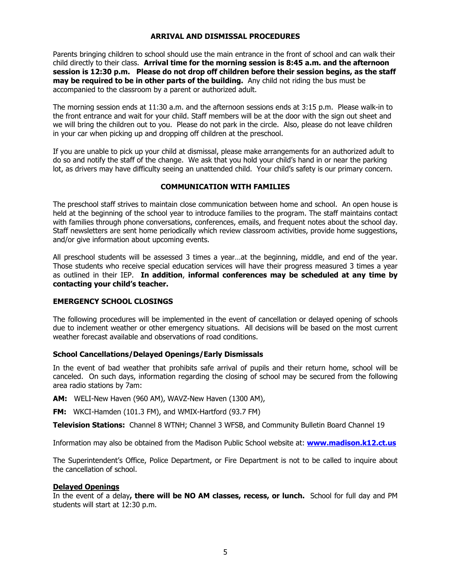#### **ARRIVAL AND DISMISSAL PROCEDURES**

Parents bringing children to school should use the main entrance in the front of school and can walk their child directly to their class. **Arrival time for the morning session is 8:45 a.m. and the afternoon session is 12:30 p.m. Please do not drop off children before their session begins, as the staff may be required to be in other parts of the building.** Any child not riding the bus must be accompanied to the classroom by a parent or authorized adult.

The morning session ends at 11:30 a.m. and the afternoon sessions ends at 3:15 p.m. Please walk-in to the front entrance and wait for your child. Staff members will be at the door with the sign out sheet and we will bring the children out to you. Please do not park in the circle. Also, please do not leave children in your car when picking up and dropping off children at the preschool.

If you are unable to pick up your child at dismissal, please make arrangements for an authorized adult to do so and notify the staff of the change. We ask that you hold your child's hand in or near the parking lot, as drivers may have difficulty seeing an unattended child. Your child's safety is our primary concern.

# **COMMUNICATION WITH FAMILIES**

The preschool staff strives to maintain close communication between home and school. An open house is held at the beginning of the school year to introduce families to the program. The staff maintains contact with families through phone conversations, conferences, emails, and frequent notes about the school day. Staff newsletters are sent home periodically which review classroom activities, provide home suggestions, and/or give information about upcoming events.

All preschool students will be assessed 3 times a year…at the beginning, middle, and end of the year. Those students who receive special education services will have their progress measured 3 times a year as outlined in their IEP. **In addition**, **informal conferences may be scheduled at any time by contacting your child's teacher.**

# **EMERGENCY SCHOOL CLOSINGS**

The following procedures will be implemented in the event of cancellation or delayed opening of schools due to inclement weather or other emergency situations. All decisions will be based on the most current weather forecast available and observations of road conditions.

# **School Cancellations/Delayed Openings/Early Dismissals**

In the event of bad weather that prohibits safe arrival of pupils and their return home, school will be canceled. On such days, information regarding the closing of school may be secured from the following area radio stations by 7am:

**AM:** WELI-New Haven (960 AM), WAVZ-New Haven (1300 AM),

**FM:** WKCI-Hamden (101.3 FM), and WMIX-Hartford (93.7 FM)

**Television Stations:** Channel 8 WTNH; Channel 3 WFSB, and Community Bulletin Board Channel 19

Information may also be obtained from the Madison Public School website at: **[www.madison.k12.ct.us](http://www.madison.k12.ct.us/)**

The Superintendent's Office, Police Department, or Fire Department is not to be called to inquire about the cancellation of school.

# **Delayed Openings**

In the event of a delay**, there will be NO AM classes, recess, or lunch.** School for full day and PM students will start at 12:30 p.m.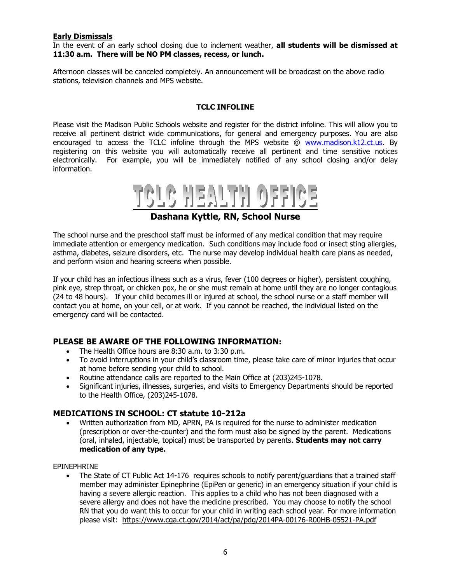#### **Early Dismissals**

In the event of an early school closing due to inclement weather, **all students will be dismissed at 11:30 a.m. There will be NO PM classes, recess, or lunch.**

Afternoon classes will be canceled completely. An announcement will be broadcast on the above radio stations, television channels and MPS website.

### **TCLC INFOLINE**

Please visit the Madison Public Schools website and register for the district infoline. This will allow you to receive all pertinent district wide communications, for general and emergency purposes. You are also encouraged to access the TCLC infoline through the MPS website @ [www.madison.k12.ct.us.](http://www.madison.k12.ct.us/) By registering on this website you will automatically receive all pertinent and time sensitive notices electronically. For example, you will be immediately notified of any school closing and/or delay information.



# **Dashana Kyttle, RN, School Nurse**

The school nurse and the preschool staff must be informed of any medical condition that may require immediate attention or emergency medication. Such conditions may include food or insect sting allergies, asthma, diabetes, seizure disorders, etc. The nurse may develop individual health care plans as needed, and perform vision and hearing screens when possible.

If your child has an infectious illness such as a virus, fever (100 degrees or higher), persistent coughing, pink eye, strep throat, or chicken pox, he or she must remain at home until they are no longer contagious (24 to 48 hours). If your child becomes ill or injured at school, the school nurse or a staff member will contact you at home, on your cell, or at work. If you cannot be reached, the individual listed on the emergency card will be contacted.

# **PLEASE BE AWARE OF THE FOLLOWING INFORMATION:**

- The Health Office hours are 8:30 a.m. to 3:30 p.m.
- To avoid interruptions in your child's classroom time, please take care of minor injuries that occur at home before sending your child to school.
- Routine attendance calls are reported to the Main Office at (203)245-1078.
- Significant injuries, illnesses, surgeries, and visits to Emergency Departments should be reported to the Health Office, (203)245-1078.

# **MEDICATIONS IN SCHOOL: CT statute 10-212a**

• Written authorization from MD, APRN, PA is required for the nurse to administer medication (prescription or over-the-counter) and the form must also be signed by the parent. Medications (oral, inhaled, injectable, topical) must be transported by parents. **Students may not carry medication of any type.**

EPINEPHRINE

• The State of CT Public Act 14-176 requires schools to notify parent/quardians that a trained staff member may administer Epinephrine (EpiPen or generic) in an emergency situation if your child is having a severe allergic reaction. This applies to a child who has not been diagnosed with a severe allergy and does not have the medicine prescribed. You may choose to notify the school RN that you do want this to occur for your child in writing each school year. For more information please visit: <https://www.cga.ct.gov/2014/act/pa/pdg/2014PA-00176-R00HB-05521-PA.pdf>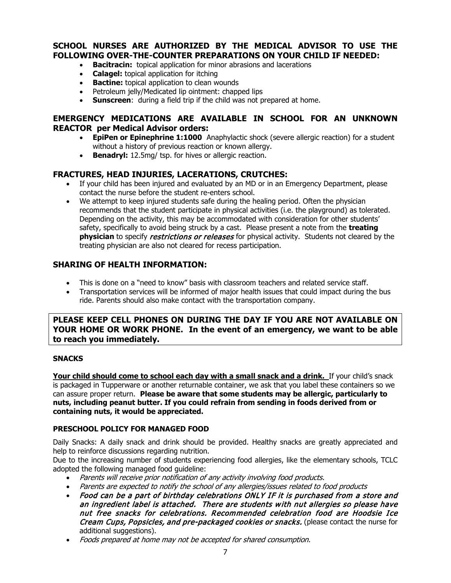# **SCHOOL NURSES ARE AUTHORIZED BY THE MEDICAL ADVISOR TO USE THE FOLLOWING OVER-THE-COUNTER PREPARATIONS ON YOUR CHILD IF NEEDED:**

- **Bacitracin:** topical application for minor abrasions and lacerations
- **Calagel:** topical application for itching
- **Bactine:** topical application to clean wounds
- Petroleum jelly/Medicated lip ointment: chapped lips
- **Sunscreen**: during a field trip if the child was not prepared at home.

# **EMERGENCY MEDICATIONS ARE AVAILABLE IN SCHOOL FOR AN UNKNOWN REACTOR per Medical Advisor orders:**

- **EpiPen or Epinephrine 1:1000** Anaphylactic shock (severe allergic reaction) for a student without a history of previous reaction or known allergy.
- **Benadryl:** 12.5mg/ tsp. for hives or allergic reaction.

# **FRACTURES, HEAD INJURIES, LACERATIONS, CRUTCHES:**

- If your child has been injured and evaluated by an MD or in an Emergency Department, please contact the nurse before the student re-enters school.
- We attempt to keep injured students safe during the healing period. Often the physician recommends that the student participate in physical activities (i.e. the playground) as tolerated. Depending on the activity, this may be accommodated with consideration for other students' safety, specifically to avoid being struck by a cast. Please present a note from the **treating physician** to specify *restrictions or releases* for physical activity. Students not cleared by the treating physician are also not cleared for recess participation.

# **SHARING OF HEALTH INFORMATION:**

- This is done on a "need to know" basis with classroom teachers and related service staff.
- Transportation services will be informed of major health issues that could impact during the bus ride. Parents should also make contact with the transportation company.

**PLEASE KEEP CELL PHONES ON DURING THE DAY IF YOU ARE NOT AVAILABLE ON YOUR HOME OR WORK PHONE. In the event of an emergency, we want to be able to reach you immediately.**

# **SNACKS**

Your child should come to school each day with a small snack and a drink. If your child's snack is packaged in Tupperware or another returnable container, we ask that you label these containers so we can assure proper return. **Please be aware that some students may be allergic, particularly to nuts, including peanut butter. If you could refrain from sending in foods derived from or containing nuts, it would be appreciated.**

# **PRESCHOOL POLICY FOR MANAGED FOOD**

Daily Snacks: A daily snack and drink should be provided. Healthy snacks are greatly appreciated and help to reinforce discussions regarding nutrition.

Due to the increasing number of students experiencing food allergies, like the elementary schools, TCLC adopted the following managed food guideline:

- Parents will receive prior notification of any activity involving food products.
- Parents are expected to notify the school of any allergies/issues related to food products
- Food can be a part of birthday celebrations ONLY IF it is purchased from a store and an ingredient label is attached. There are students with nut allergies so please have nut free snacks for celebrations. Recommended celebration food are Hoodsie Ice Cream Cups, Popsicles, and pre-packaged cookies or snacks. (please contact the nurse for additional suggestions).
- Foods prepared at home may not be accepted for shared consumption.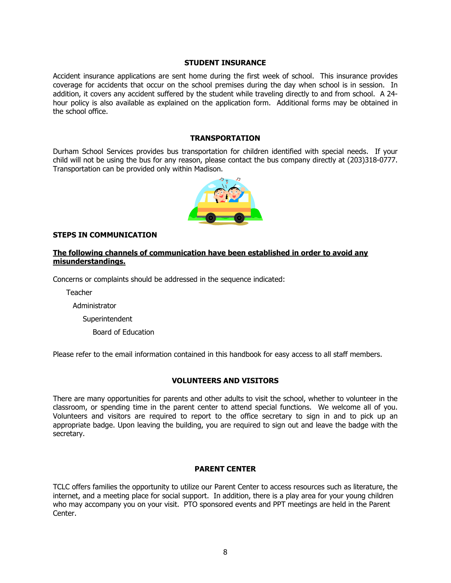#### **STUDENT INSURANCE**

Accident insurance applications are sent home during the first week of school. This insurance provides coverage for accidents that occur on the school premises during the day when school is in session. In addition, it covers any accident suffered by the student while traveling directly to and from school. A 24 hour policy is also available as explained on the application form. Additional forms may be obtained in the school office.

# **TRANSPORTATION**

Durham School Services provides bus transportation for children identified with special needs. If your child will not be using the bus for any reason, please contact the bus company directly at (203)318-0777. Transportation can be provided only within Madison.



### **STEPS IN COMMUNICATION**

### **The following channels of communication have been established in order to avoid any misunderstandings.**

Concerns or complaints should be addressed in the sequence indicated:

Teacher

Administrator

**Superintendent** 

Board of Education

Please refer to the email information contained in this handbook for easy access to all staff members.

# **VOLUNTEERS AND VISITORS**

There are many opportunities for parents and other adults to visit the school, whether to volunteer in the classroom, or spending time in the parent center to attend special functions. We welcome all of you. Volunteers and visitors are required to report to the office secretary to sign in and to pick up an appropriate badge. Upon leaving the building, you are required to sign out and leave the badge with the secretary.

#### **PARENT CENTER**

TCLC offers families the opportunity to utilize our Parent Center to access resources such as literature, the internet, and a meeting place for social support. In addition, there is a play area for your young children who may accompany you on your visit. PTO sponsored events and PPT meetings are held in the Parent Center.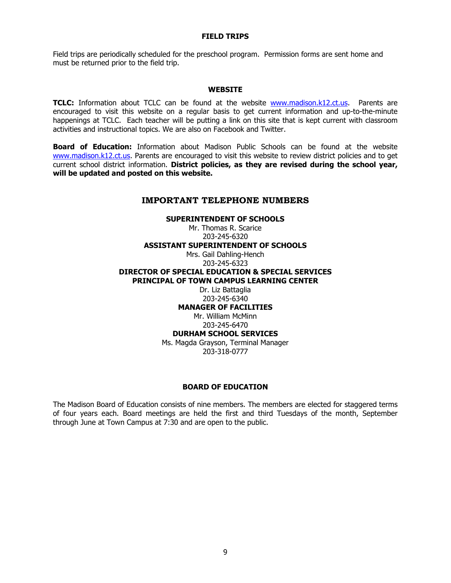#### **FIELD TRIPS**

Field trips are periodically scheduled for the preschool program. Permission forms are sent home and must be returned prior to the field trip.

#### **WEBSITE**

**TCLC:** Information about TCLC can be found at the website [www.madison.k12.ct.us.](http://www.jeffreyschool.org/) Parents are encouraged to visit this website on a regular basis to get current information and up-to-the-minute happenings at TCLC. Each teacher will be putting a link on this site that is kept current with classroom activities and instructional topics. We are also on Facebook and Twitter.

**Board of Education:** Information about Madison Public Schools can be found at the website [www.madison.k12.ct.us.](http://www.madison.k12.ct.us/) Parents are encouraged to visit this website to review district policies and to get current school district information. **District policies, as they are revised during the school year, will be updated and posted on this website.**

### **IMPORTANT TELEPHONE NUMBERS**

# **SUPERINTENDENT OF SCHOOLS** Mr. Thomas R. Scarice 203-245-6320 **ASSISTANT SUPERINTENDENT OF SCHOOLS** Mrs. Gail Dahling-Hench 203-245-6323 **DIRECTOR OF SPECIAL EDUCATION & SPECIAL SERVICES PRINCIPAL OF TOWN CAMPUS LEARNING CENTER** Dr. Liz Battaglia 203-245-6340 **MANAGER OF FACILITIES** Mr. William McMinn

203-245-6470 **DURHAM SCHOOL SERVICES**

Ms. Magda Grayson, Terminal Manager 203-318-0777

#### **BOARD OF EDUCATION**

The Madison Board of Education consists of nine members. The members are elected for staggered terms of four years each. Board meetings are held the first and third Tuesdays of the month, September through June at Town Campus at 7:30 and are open to the public.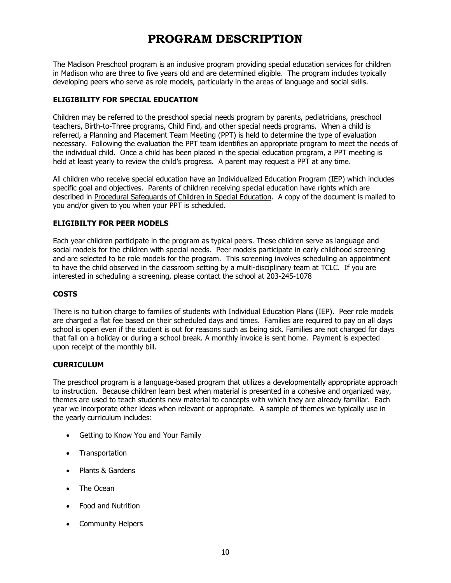# **PROGRAM DESCRIPTION**

The Madison Preschool program is an inclusive program providing special education services for children in Madison who are three to five years old and are determined eligible. The program includes typically developing peers who serve as role models, particularly in the areas of language and social skills.

# **ELIGIBILITY FOR SPECIAL EDUCATION**

Children may be referred to the preschool special needs program by parents, pediatricians, preschool teachers, Birth-to-Three programs, Child Find, and other special needs programs. When a child is referred, a Planning and Placement Team Meeting (PPT) is held to determine the type of evaluation necessary. Following the evaluation the PPT team identifies an appropriate program to meet the needs of the individual child. Once a child has been placed in the special education program, a PPT meeting is held at least yearly to review the child's progress. A parent may request a PPT at any time.

All children who receive special education have an Individualized Education Program (IEP) which includes specific goal and objectives. Parents of children receiving special education have rights which are described in Procedural Safeguards of Children in Special Education. A copy of the document is mailed to you and/or given to you when your PPT is scheduled.

# **ELIGIBILTY FOR PEER MODELS**

Each year children participate in the program as typical peers. These children serve as language and social models for the children with special needs. Peer models participate in early childhood screening and are selected to be role models for the program. This screening involves scheduling an appointment to have the child observed in the classroom setting by a multi-disciplinary team at TCLC. If you are interested in scheduling a screening, please contact the school at 203-245-1078

# **COSTS**

There is no tuition charge to families of students with Individual Education Plans (IEP). Peer role models are charged a flat fee based on their scheduled days and times. Families are required to pay on all days school is open even if the student is out for reasons such as being sick. Families are not charged for days that fall on a holiday or during a school break. A monthly invoice is sent home. Payment is expected upon receipt of the monthly bill.

# **CURRICULUM**

The preschool program is a language-based program that utilizes a developmentally appropriate approach to instruction. Because children learn best when material is presented in a cohesive and organized way, themes are used to teach students new material to concepts with which they are already familiar. Each year we incorporate other ideas when relevant or appropriate. A sample of themes we typically use in the yearly curriculum includes:

- Getting to Know You and Your Family
- Transportation
- Plants & Gardens
- The Ocean
- Food and Nutrition
- Community Helpers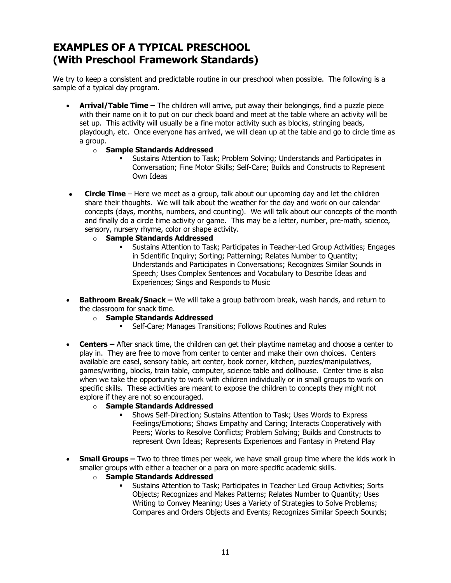# **EXAMPLES OF A TYPICAL PRESCHOOL (With Preschool Framework Standards)**

We try to keep a consistent and predictable routine in our preschool when possible. The following is a sample of a typical day program.

- **Arrival/Table Time –** The children will arrive, put away their belongings, find a puzzle piece with their name on it to put on our check board and meet at the table where an activity will be set up. This activity will usually be a fine motor activity such as blocks, stringing beads, playdough, etc. Once everyone has arrived, we will clean up at the table and go to circle time as a group.
	- o **Sample Standards Addressed**
		- Sustains Attention to Task; Problem Solving; Understands and Participates in Conversation; Fine Motor Skills; Self-Care; Builds and Constructs to Represent Own Ideas
- **Circle Time** Here we meet as a group, talk about our upcoming day and let the children share their thoughts. We will talk about the weather for the day and work on our calendar concepts (days, months, numbers, and counting). We will talk about our concepts of the month and finally do a circle time activity or game. This may be a letter, number, pre-math, science, sensory, nursery rhyme, color or shape activity.
	- o **Sample Standards Addressed**
		- Sustains Attention to Task; Participates in Teacher-Led Group Activities; Engages in Scientific Inquiry; Sorting; Patterning; Relates Number to Quantity; Understands and Participates in Conversations; Recognizes Similar Sounds in Speech; Uses Complex Sentences and Vocabulary to Describe Ideas and Experiences; Sings and Responds to Music
- **Bathroom Break/Snack –** We will take a group bathroom break, wash hands, and return to the classroom for snack time.
	- o **Sample Standards Addressed**
		- Self-Care; Manages Transitions; Follows Routines and Rules
- **Centers –** After snack time, the children can get their playtime nametag and choose a center to play in. They are free to move from center to center and make their own choices. Centers available are easel, sensory table, art center, book corner, kitchen, puzzles/manipulatives, games/writing, blocks, train table, computer, science table and dollhouse. Center time is also when we take the opportunity to work with children individually or in small groups to work on specific skills. These activities are meant to expose the children to concepts they might not explore if they are not so encouraged.
	- o **Sample Standards Addressed**
		- Shows Self-Direction; Sustains Attention to Task; Uses Words to Express Feelings/Emotions; Shows Empathy and Caring; Interacts Cooperatively with Peers; Works to Resolve Conflicts; Problem Solving; Builds and Constructs to represent Own Ideas; Represents Experiences and Fantasy in Pretend Play
- **Small Groups** Two to three times per week, we have small group time where the kids work in smaller groups with either a teacher or a para on more specific academic skills.
	- o **Sample Standards Addressed**
		- Sustains Attention to Task; Participates in Teacher Led Group Activities; Sorts Objects; Recognizes and Makes Patterns; Relates Number to Quantity; Uses Writing to Convey Meaning; Uses a Variety of Strategies to Solve Problems; Compares and Orders Objects and Events; Recognizes Similar Speech Sounds;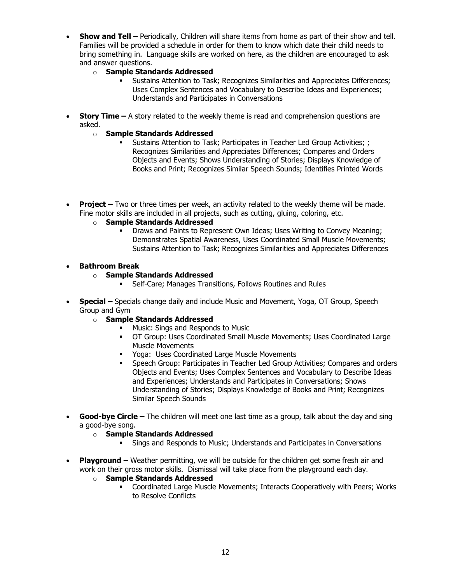- **Show and Tell –** Periodically, Children will share items from home as part of their show and tell. Families will be provided a schedule in order for them to know which date their child needs to bring something in. Language skills are worked on here, as the children are encouraged to ask and answer questions.
	- o **Sample Standards Addressed**
		- Sustains Attention to Task; Recognizes Similarities and Appreciates Differences; Uses Complex Sentences and Vocabulary to Describe Ideas and Experiences; Understands and Participates in Conversations
- **Story Time** A story related to the weekly theme is read and comprehension questions are asked.
	- o **Sample Standards Addressed**
		- Sustains Attention to Task; Participates in Teacher Led Group Activities; ; Recognizes Similarities and Appreciates Differences; Compares and Orders Objects and Events; Shows Understanding of Stories; Displays Knowledge of Books and Print; Recognizes Similar Speech Sounds; Identifies Printed Words
- **Project –** Two or three times per week, an activity related to the weekly theme will be made. Fine motor skills are included in all projects, such as cutting, gluing, coloring, etc.
	- o **Sample Standards Addressed**
		- Draws and Paints to Represent Own Ideas; Uses Writing to Convey Meaning; Demonstrates Spatial Awareness, Uses Coordinated Small Muscle Movements; Sustains Attention to Task; Recognizes Similarities and Appreciates Differences

# • **Bathroom Break**

- o **Sample Standards Addressed**
	- Self-Care; Manages Transitions, Follows Routines and Rules
- **Special –** Specials change daily and include Music and Movement, Yoga, OT Group, Speech Group and Gym
	- o **Sample Standards Addressed**
		- **Music: Sings and Responds to Music**
		- OT Group: Uses Coordinated Small Muscle Movements; Uses Coordinated Large Muscle Movements
		- Yoga: Uses Coordinated Large Muscle Movements
		- Speech Group: Participates in Teacher Led Group Activities; Compares and orders Objects and Events; Uses Complex Sentences and Vocabulary to Describe Ideas and Experiences; Understands and Participates in Conversations; Shows Understanding of Stories; Displays Knowledge of Books and Print; Recognizes Similar Speech Sounds
- **Good-bye Circle –** The children will meet one last time as a group, talk about the day and sing a good-bye song.
	- o **Sample Standards Addressed**
		- Sings and Responds to Music; Understands and Participates in Conversations
- **Playground –** Weather permitting, we will be outside for the children get some fresh air and work on their gross motor skills. Dismissal will take place from the playground each day.
	- o **Sample Standards Addressed**
		- Coordinated Large Muscle Movements; Interacts Cooperatively with Peers; Works to Resolve Conflicts